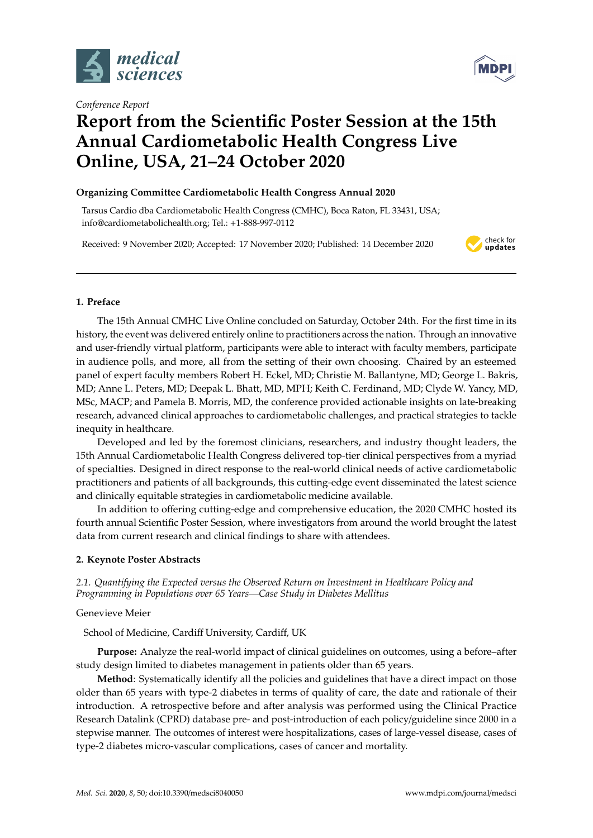

*Conference Report*



# **Report from the Scientific Poster Session at the 15th Annual Cardiometabolic Health Congress Live Online, USA, 21–24 October 2020**

# **Organizing Committee Cardiometabolic Health Congress Annual 2020**

Tarsus Cardio dba Cardiometabolic Health Congress (CMHC), Boca Raton, FL 33431, USA; info@cardiometabolichealth.org; Tel.: +1-888-997-0112

Received: 9 November 2020; Accepted: 17 November 2020; Published: 14 December 2020



# **1. Preface**

The 15th Annual CMHC Live Online concluded on Saturday, October 24th. For the first time in its history, the event was delivered entirely online to practitioners across the nation. Through an innovative and user-friendly virtual platform, participants were able to interact with faculty members, participate in audience polls, and more, all from the setting of their own choosing. Chaired by an esteemed panel of expert faculty members Robert H. Eckel, MD; Christie M. Ballantyne, MD; George L. Bakris, MD; Anne L. Peters, MD; Deepak L. Bhatt, MD, MPH; Keith C. Ferdinand, MD; Clyde W. Yancy, MD, MSc, MACP; and Pamela B. Morris, MD, the conference provided actionable insights on late-breaking research, advanced clinical approaches to cardiometabolic challenges, and practical strategies to tackle inequity in healthcare.

Developed and led by the foremost clinicians, researchers, and industry thought leaders, the 15th Annual Cardiometabolic Health Congress delivered top-tier clinical perspectives from a myriad of specialties. Designed in direct response to the real-world clinical needs of active cardiometabolic practitioners and patients of all backgrounds, this cutting-edge event disseminated the latest science and clinically equitable strategies in cardiometabolic medicine available.

In addition to offering cutting-edge and comprehensive education, the 2020 CMHC hosted its fourth annual Scientific Poster Session, where investigators from around the world brought the latest data from current research and clinical findings to share with attendees.

## **2. Keynote Poster Abstracts**

*2.1. Quantifying the Expected versus the Observed Return on Investment in Healthcare Policy and Programming in Populations over 65 Years—Case Study in Diabetes Mellitus*

Genevieve Meier

School of Medicine, Cardiff University, Cardiff, UK

**Purpose:** Analyze the real-world impact of clinical guidelines on outcomes, using a before–after study design limited to diabetes management in patients older than 65 years.

**Method**: Systematically identify all the policies and guidelines that have a direct impact on those older than 65 years with type-2 diabetes in terms of quality of care, the date and rationale of their introduction. A retrospective before and after analysis was performed using the Clinical Practice Research Datalink (CPRD) database pre- and post-introduction of each policy/guideline since 2000 in a stepwise manner. The outcomes of interest were hospitalizations, cases of large-vessel disease, cases of type-2 diabetes micro-vascular complications, cases of cancer and mortality.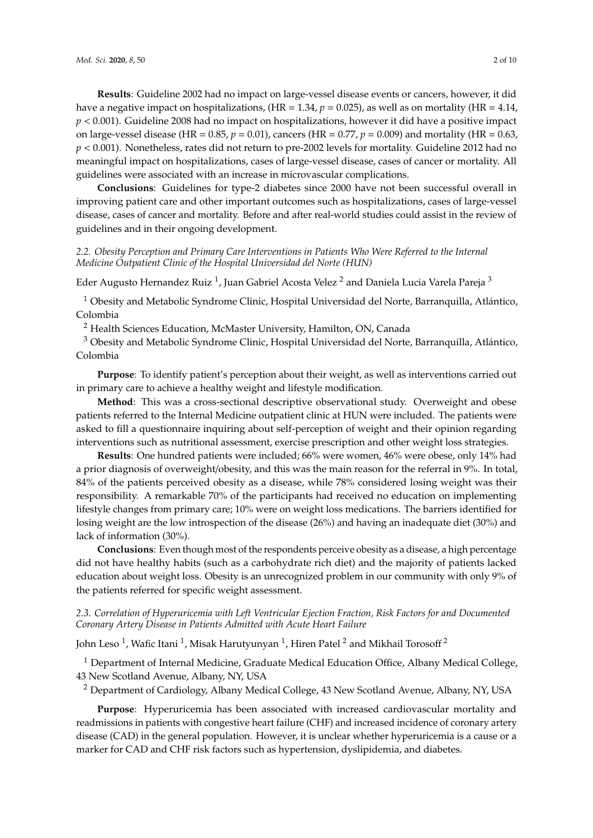**Results**: Guideline 2002 had no impact on large-vessel disease events or cancers, however, it did have a negative impact on hospitalizations, (HR = 1.34,  $p = 0.025$ ), as well as on mortality (HR = 4.14, *p* < 0.001). Guideline 2008 had no impact on hospitalizations, however it did have a positive impact on large-vessel disease (HR = 0.85, *p* = 0.01), cancers (HR = 0.77, *p* = 0.009) and mortality (HR = 0.63, *p* < 0.001). Nonetheless, rates did not return to pre-2002 levels for mortality. Guideline 2012 had no meaningful impact on hospitalizations, cases of large-vessel disease, cases of cancer or mortality. All guidelines were associated with an increase in microvascular complications.

**Conclusions**: Guidelines for type-2 diabetes since 2000 have not been successful overall in improving patient care and other important outcomes such as hospitalizations, cases of large-vessel disease, cases of cancer and mortality. Before and after real-world studies could assist in the review of guidelines and in their ongoing development.

## *2.2. Obesity Perception and Primary Care Interventions in Patients Who Were Referred to the Internal Medicine Outpatient Clinic of the Hospital Universidad del Norte (HUN)*

Eder Augusto Hernandez Ruiz <sup>1</sup>, Juan Gabriel Acosta Velez <sup>2</sup> and Daniela Lucia Varela Pareja <sup>3</sup>

<sup>1</sup> Obesity and Metabolic Syndrome Clinic, Hospital Universidad del Norte, Barranquilla, Atlántico, Colombia

<sup>2</sup> Health Sciences Education, McMaster University, Hamilton, ON, Canada

<sup>3</sup> Obesity and Metabolic Syndrome Clinic, Hospital Universidad del Norte, Barranquilla, Atlántico, Colombia

**Purpose**: To identify patient's perception about their weight, as well as interventions carried out in primary care to achieve a healthy weight and lifestyle modification.

**Method**: This was a cross-sectional descriptive observational study. Overweight and obese patients referred to the Internal Medicine outpatient clinic at HUN were included. The patients were asked to fill a questionnaire inquiring about self-perception of weight and their opinion regarding interventions such as nutritional assessment, exercise prescription and other weight loss strategies.

**Results**: One hundred patients were included; 66% were women, 46% were obese, only 14% had a prior diagnosis of overweight/obesity, and this was the main reason for the referral in 9%. In total, 84% of the patients perceived obesity as a disease, while 78% considered losing weight was their responsibility. A remarkable 70% of the participants had received no education on implementing lifestyle changes from primary care; 10% were on weight loss medications. The barriers identified for losing weight are the low introspection of the disease (26%) and having an inadequate diet (30%) and lack of information (30%).

**Conclusions**: Even though most of the respondents perceive obesity as a disease, a high percentage did not have healthy habits (such as a carbohydrate rich diet) and the majority of patients lacked education about weight loss. Obesity is an unrecognized problem in our community with only 9% of the patients referred for specific weight assessment.

## *2.3. Correlation of Hyperuricemia with Left Ventricular Ejection Fraction, Risk Factors for and Documented Coronary Artery Disease in Patients Admitted with Acute Heart Failure*

John Leso  $^1$ , Wafic Itani  $^1$ , Misak Harutyunyan  $^1$ , Hiren Patel  $^2$  and Mikhail Torosoff  $^2$ 

<sup>1</sup> Department of Internal Medicine, Graduate Medical Education Office, Albany Medical College, 43 New Scotland Avenue, Albany, NY, USA

<sup>2</sup> Department of Cardiology, Albany Medical College, 43 New Scotland Avenue, Albany, NY, USA

**Purpose**: Hyperuricemia has been associated with increased cardiovascular mortality and readmissions in patients with congestive heart failure (CHF) and increased incidence of coronary artery disease (CAD) in the general population. However, it is unclear whether hyperuricemia is a cause or a marker for CAD and CHF risk factors such as hypertension, dyslipidemia, and diabetes.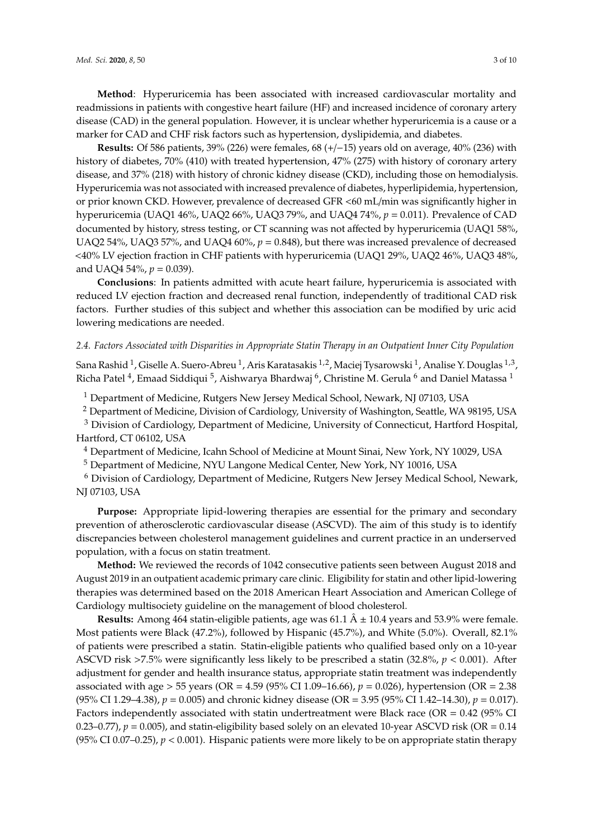**Method**: Hyperuricemia has been associated with increased cardiovascular mortality and readmissions in patients with congestive heart failure (HF) and increased incidence of coronary artery disease (CAD) in the general population. However, it is unclear whether hyperuricemia is a cause or a marker for CAD and CHF risk factors such as hypertension, dyslipidemia, and diabetes.

**Results:** Of 586 patients, 39% (226) were females, 68 (+/−15) years old on average, 40% (236) with history of diabetes, 70% (410) with treated hypertension, 47% (275) with history of coronary artery disease, and 37% (218) with history of chronic kidney disease (CKD), including those on hemodialysis. Hyperuricemia was not associated with increased prevalence of diabetes, hyperlipidemia, hypertension, or prior known CKD. However, prevalence of decreased GFR <60 mL/min was significantly higher in hyperuricemia (UAQ1 46%, UAQ2 66%, UAQ3 79%, and UAQ4 74%, *p* = 0.011). Prevalence of CAD documented by history, stress testing, or CT scanning was not affected by hyperuricemia (UAQ1 58%, UAQ2 54%, UAQ3 57%, and UAQ4 60%, *p* = 0.848), but there was increased prevalence of decreased <40% LV ejection fraction in CHF patients with hyperuricemia (UAQ1 29%, UAQ2 46%, UAQ3 48%, and UAQ4 54%,  $p = 0.039$ ).

**Conclusions**: In patients admitted with acute heart failure, hyperuricemia is associated with reduced LV ejection fraction and decreased renal function, independently of traditional CAD risk factors. Further studies of this subject and whether this association can be modified by uric acid lowering medications are needed.

#### *2.4. Factors Associated with Disparities in Appropriate Statin Therapy in an Outpatient Inner City Population*

Sana Rashid <sup>1</sup>, Giselle A. Suero-Abreu <sup>1</sup>, Aris Karatasakis <sup>1,2</sup>, Maciej Tysarowski <sup>1</sup>, Analise Y. Douglas <sup>1,3</sup>, Richa Patel <sup>4</sup>, Emaad Siddiqui <sup>5</sup>, Aishwarya Bhardwaj <sup>6</sup>, Christine M. Gerula <sup>6</sup> and Daniel Matassa <sup>1</sup>

<sup>1</sup> Department of Medicine, Rutgers New Jersey Medical School, Newark, NJ 07103, USA

<sup>2</sup> Department of Medicine, Division of Cardiology, University of Washington, Seattle, WA 98195, USA

<sup>3</sup> Division of Cardiology, Department of Medicine, University of Connecticut, Hartford Hospital, Hartford, CT 06102, USA

<sup>4</sup> Department of Medicine, Icahn School of Medicine at Mount Sinai, New York, NY 10029, USA

<sup>5</sup> Department of Medicine, NYU Langone Medical Center, New York, NY 10016, USA

<sup>6</sup> Division of Cardiology, Department of Medicine, Rutgers New Jersey Medical School, Newark, NJ 07103, USA

**Purpose:** Appropriate lipid-lowering therapies are essential for the primary and secondary prevention of atherosclerotic cardiovascular disease (ASCVD). The aim of this study is to identify discrepancies between cholesterol management guidelines and current practice in an underserved population, with a focus on statin treatment.

**Method:** We reviewed the records of 1042 consecutive patients seen between August 2018 and August 2019 in an outpatient academic primary care clinic. Eligibility for statin and other lipid-lowering therapies was determined based on the 2018 American Heart Association and American College of Cardiology multisociety guideline on the management of blood cholesterol.

**Results:** Among 464 statin-eligible patients, age was  $61.1 \text{ Å} \pm 10.4$  years and  $53.9\%$  were female. Most patients were Black (47.2%), followed by Hispanic (45.7%), and White (5.0%). Overall, 82.1% of patients were prescribed a statin. Statin-eligible patients who qualified based only on a 10-year ASCVD risk >7.5% were significantly less likely to be prescribed a statin (32.8%, *p* < 0.001). After adjustment for gender and health insurance status, appropriate statin treatment was independently associated with age > 55 years (OR = 4.59 (95% CI 1.09–16.66), *p* = 0.026), hypertension (OR = 2.38 (95% CI 1.29–4.38), *p* = 0.005) and chronic kidney disease (OR = 3.95 (95% CI 1.42–14.30), *p* = 0.017). Factors independently associated with statin undertreatment were Black race (OR =  $0.42$  (95% CI) 0.23–0.77),  $p = 0.005$ ), and statin-eligibility based solely on an elevated 10-year ASCVD risk (OR =  $0.14$ ) (95% CI 0.07–0.25),  $p < 0.001$ ). Hispanic patients were more likely to be on appropriate statin therapy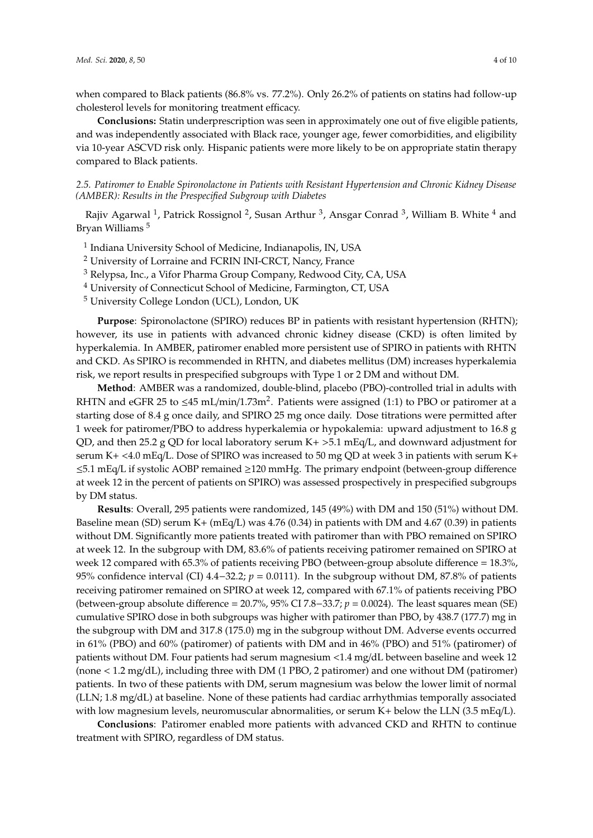when compared to Black patients (86.8% vs. 77.2%). Only 26.2% of patients on statins had follow-up cholesterol levels for monitoring treatment efficacy.

**Conclusions:** Statin underprescription was seen in approximately one out of five eligible patients, and was independently associated with Black race, younger age, fewer comorbidities, and eligibility via 10-year ASCVD risk only. Hispanic patients were more likely to be on appropriate statin therapy compared to Black patients.

*2.5. Patiromer to Enable Spironolactone in Patients with Resistant Hypertension and Chronic Kidney Disease (AMBER): Results in the Prespecified Subgroup with Diabetes*

Rajiv Agarwal <sup>1</sup>, Patrick Rossignol <sup>2</sup>, Susan Arthur <sup>3</sup>, Ansgar Conrad <sup>3</sup>, William B. White <sup>4</sup> and Bryan Williams <sup>5</sup>

- <sup>1</sup> Indiana University School of Medicine, Indianapolis, IN, USA
- <sup>2</sup> University of Lorraine and FCRIN INI-CRCT, Nancy, France
- <sup>3</sup> Relypsa, Inc., a Vifor Pharma Group Company, Redwood City, CA, USA
- <sup>4</sup> University of Connecticut School of Medicine, Farmington, CT, USA
- <sup>5</sup> University College London (UCL), London, UK

**Purpose**: Spironolactone (SPIRO) reduces BP in patients with resistant hypertension (RHTN); however, its use in patients with advanced chronic kidney disease (CKD) is often limited by hyperkalemia. In AMBER, patiromer enabled more persistent use of SPIRO in patients with RHTN and CKD. As SPIRO is recommended in RHTN, and diabetes mellitus (DM) increases hyperkalemia risk, we report results in prespecified subgroups with Type 1 or 2 DM and without DM.

**Method**: AMBER was a randomized, double-blind, placebo (PBO)-controlled trial in adults with RHTN and eGFR 25 to  $\leq$ 45 mL/min/1.73m<sup>2</sup>. Patients were assigned (1:1) to PBO or patiromer at a starting dose of 8.4 g once daily, and SPIRO 25 mg once daily. Dose titrations were permitted after 1 week for patiromer/PBO to address hyperkalemia or hypokalemia: upward adjustment to 16.8 g QD, and then 25.2 g QD for local laboratory serum  $K+ >5.1$  mEq/L, and downward adjustment for serum K+ <4.0 mEq/L. Dose of SPIRO was increased to 50 mg QD at week 3 in patients with serum K+ ≤5.1 mEq/L if systolic AOBP remained ≥120 mmHg. The primary endpoint (between-group difference at week 12 in the percent of patients on SPIRO) was assessed prospectively in prespecified subgroups by DM status.

**Results**: Overall, 295 patients were randomized, 145 (49%) with DM and 150 (51%) without DM. Baseline mean (SD) serum K+ (mEq/L) was 4.76 (0.34) in patients with DM and 4.67 (0.39) in patients without DM. Significantly more patients treated with patiromer than with PBO remained on SPIRO at week 12. In the subgroup with DM, 83.6% of patients receiving patiromer remained on SPIRO at week 12 compared with 65.3% of patients receiving PBO (between-group absolute difference = 18.3%, 95% confidence interval (CI) 4.4−32.2; *p* = 0.0111). In the subgroup without DM, 87.8% of patients receiving patiromer remained on SPIRO at week 12, compared with 67.1% of patients receiving PBO (between-group absolute difference = 20.7%, 95% CI 7.8−33.7; *p* = 0.0024). The least squares mean (SE) cumulative SPIRO dose in both subgroups was higher with patiromer than PBO, by 438.7 (177.7) mg in the subgroup with DM and 317.8 (175.0) mg in the subgroup without DM. Adverse events occurred in 61% (PBO) and 60% (patiromer) of patients with DM and in 46% (PBO) and 51% (patiromer) of patients without DM. Four patients had serum magnesium <1.4 mg/dL between baseline and week 12 (none < 1.2 mg/dL), including three with DM (1 PBO, 2 patiromer) and one without DM (patiromer) patients. In two of these patients with DM, serum magnesium was below the lower limit of normal (LLN; 1.8 mg/dL) at baseline. None of these patients had cardiac arrhythmias temporally associated with low magnesium levels, neuromuscular abnormalities, or serum K+ below the LLN (3.5 mEq/L).

**Conclusions**: Patiromer enabled more patients with advanced CKD and RHTN to continue treatment with SPIRO, regardless of DM status.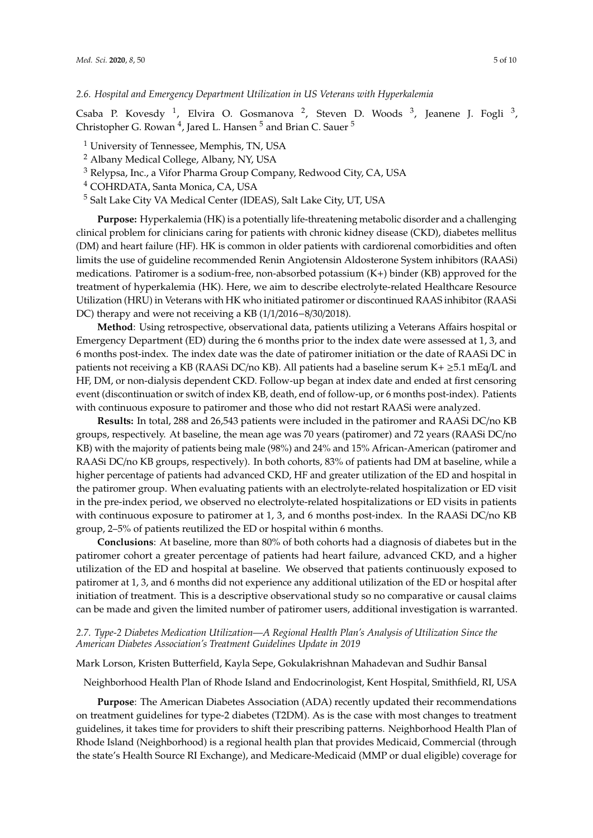#### *2.6. Hospital and Emergency Department Utilization in US Veterans with Hyperkalemia*

Csaba P. Kovesdy <sup>1</sup>, Elvira O. Gosmanova <sup>2</sup>, Steven D. Woods <sup>3</sup>, Jeanene J. Fogli <sup>3</sup>, Christopher G. Rowan <sup>4</sup>, Jared L. Hansen <sup>5</sup> and Brian C. Sauer <sup>5</sup>

- <sup>1</sup> University of Tennessee, Memphis, TN, USA
- <sup>2</sup> Albany Medical College, Albany, NY, USA
- <sup>3</sup> Relypsa, Inc., a Vifor Pharma Group Company, Redwood City, CA, USA
- <sup>4</sup> COHRDATA, Santa Monica, CA, USA
- <sup>5</sup> Salt Lake City VA Medical Center (IDEAS), Salt Lake City, UT, USA

**Purpose:** Hyperkalemia (HK) is a potentially life-threatening metabolic disorder and a challenging clinical problem for clinicians caring for patients with chronic kidney disease (CKD), diabetes mellitus (DM) and heart failure (HF). HK is common in older patients with cardiorenal comorbidities and often limits the use of guideline recommended Renin Angiotensin Aldosterone System inhibitors (RAASi) medications. Patiromer is a sodium-free, non-absorbed potassium (K+) binder (KB) approved for the treatment of hyperkalemia (HK). Here, we aim to describe electrolyte-related Healthcare Resource Utilization (HRU) in Veterans with HK who initiated patiromer or discontinued RAAS inhibitor (RAASi DC) therapy and were not receiving a KB (1/1/2016–8/30/2018).

**Method**: Using retrospective, observational data, patients utilizing a Veterans Affairs hospital or Emergency Department (ED) during the 6 months prior to the index date were assessed at 1, 3, and 6 months post-index. The index date was the date of patiromer initiation or the date of RAASi DC in patients not receiving a KB (RAASi DC/no KB). All patients had a baseline serum K+  $\geq$ 5.1 mEq/L and HF, DM, or non-dialysis dependent CKD. Follow-up began at index date and ended at first censoring event (discontinuation or switch of index KB, death, end of follow-up, or 6 months post-index). Patients with continuous exposure to patiromer and those who did not restart RAASi were analyzed.

**Results:** In total, 288 and 26,543 patients were included in the patiromer and RAASi DC/no KB groups, respectively. At baseline, the mean age was 70 years (patiromer) and 72 years (RAASi DC/no KB) with the majority of patients being male (98%) and 24% and 15% African-American (patiromer and RAASi DC/no KB groups, respectively). In both cohorts, 83% of patients had DM at baseline, while a higher percentage of patients had advanced CKD, HF and greater utilization of the ED and hospital in the patiromer group. When evaluating patients with an electrolyte-related hospitalization or ED visit in the pre-index period, we observed no electrolyte-related hospitalizations or ED visits in patients with continuous exposure to patiromer at 1, 3, and 6 months post-index. In the RAASi DC/no KB group, 2–5% of patients reutilized the ED or hospital within 6 months.

**Conclusions**: At baseline, more than 80% of both cohorts had a diagnosis of diabetes but in the patiromer cohort a greater percentage of patients had heart failure, advanced CKD, and a higher utilization of the ED and hospital at baseline. We observed that patients continuously exposed to patiromer at 1, 3, and 6 months did not experience any additional utilization of the ED or hospital after initiation of treatment. This is a descriptive observational study so no comparative or causal claims can be made and given the limited number of patiromer users, additional investigation is warranted.

## *2.7. Type-2 Diabetes Medication Utilization—A Regional Health Plan's Analysis of Utilization Since the American Diabetes Association's Treatment Guidelines Update in 2019*

Mark Lorson, Kristen Butterfield, Kayla Sepe, Gokulakrishnan Mahadevan and Sudhir Bansal

Neighborhood Health Plan of Rhode Island and Endocrinologist, Kent Hospital, Smithfield, RI, USA

**Purpose**: The American Diabetes Association (ADA) recently updated their recommendations on treatment guidelines for type-2 diabetes (T2DM). As is the case with most changes to treatment guidelines, it takes time for providers to shift their prescribing patterns. Neighborhood Health Plan of Rhode Island (Neighborhood) is a regional health plan that provides Medicaid, Commercial (through the state's Health Source RI Exchange), and Medicare-Medicaid (MMP or dual eligible) coverage for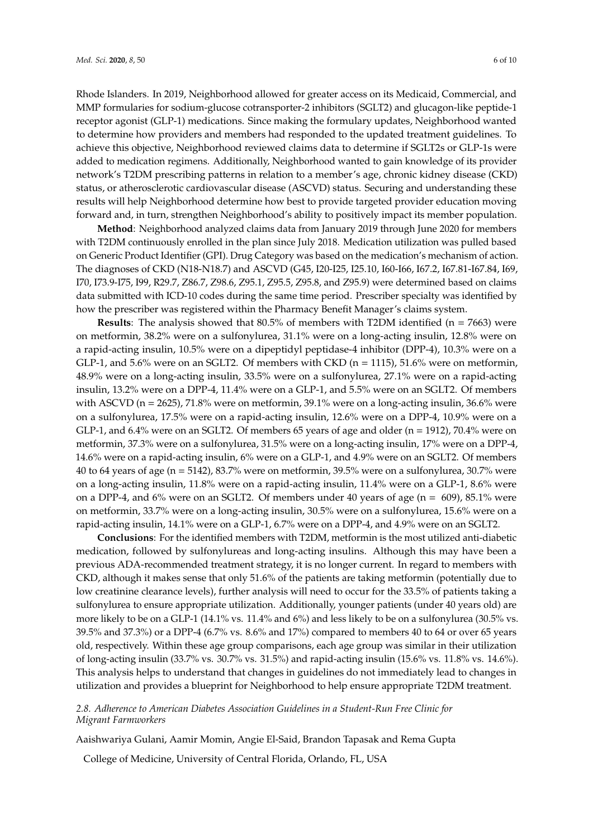Rhode Islanders. In 2019, Neighborhood allowed for greater access on its Medicaid, Commercial, and MMP formularies for sodium-glucose cotransporter-2 inhibitors (SGLT2) and glucagon-like peptide-1 receptor agonist (GLP-1) medications. Since making the formulary updates, Neighborhood wanted to determine how providers and members had responded to the updated treatment guidelines. To achieve this objective, Neighborhood reviewed claims data to determine if SGLT2s or GLP-1s were added to medication regimens. Additionally, Neighborhood wanted to gain knowledge of its provider network's T2DM prescribing patterns in relation to a member's age, chronic kidney disease (CKD) status, or atherosclerotic cardiovascular disease (ASCVD) status. Securing and understanding these results will help Neighborhood determine how best to provide targeted provider education moving forward and, in turn, strengthen Neighborhood's ability to positively impact its member population.

**Method**: Neighborhood analyzed claims data from January 2019 through June 2020 for members with T2DM continuously enrolled in the plan since July 2018. Medication utilization was pulled based on Generic Product Identifier (GPI). Drug Category was based on the medication's mechanism of action. The diagnoses of CKD (N18-N18.7) and ASCVD (G45, I20-I25, I25.10, I60-I66, I67.2, I67.81-I67.84, I69, I70, I73.9-I75, I99, R29.7, Z86.7, Z98.6, Z95.1, Z95.5, Z95.8, and Z95.9) were determined based on claims data submitted with ICD-10 codes during the same time period. Prescriber specialty was identified by how the prescriber was registered within the Pharmacy Benefit Manager's claims system.

**Results**: The analysis showed that 80.5% of members with T2DM identified (n = 7663) were on metformin, 38.2% were on a sulfonylurea, 31.1% were on a long-acting insulin, 12.8% were on a rapid-acting insulin, 10.5% were on a dipeptidyl peptidase-4 inhibitor (DPP-4), 10.3% were on a GLP-1, and 5.6% were on an SGLT2. Of members with CKD ( $n = 1115$ ), 51.6% were on metformin, 48.9% were on a long-acting insulin, 33.5% were on a sulfonylurea, 27.1% were on a rapid-acting insulin, 13.2% were on a DPP-4, 11.4% were on a GLP-1, and 5.5% were on an SGLT2. Of members with ASCVD ( $n = 2625$ ), 71.8% were on metformin, 39.1% were on a long-acting insulin, 36.6% were on a sulfonylurea, 17.5% were on a rapid-acting insulin, 12.6% were on a DPP-4, 10.9% were on a GLP-1, and 6.4% were on an SGLT2. Of members 65 years of age and older ( $n = 1912$ ), 70.4% were on metformin, 37.3% were on a sulfonylurea, 31.5% were on a long-acting insulin, 17% were on a DPP-4, 14.6% were on a rapid-acting insulin, 6% were on a GLP-1, and 4.9% were on an SGLT2. Of members 40 to 64 years of age (n = 5142), 83.7% were on metformin, 39.5% were on a sulfonylurea, 30.7% were on a long-acting insulin, 11.8% were on a rapid-acting insulin, 11.4% were on a GLP-1, 8.6% were on a DPP-4, and 6% were on an SGLT2. Of members under 40 years of age ( $n = 609$ ), 85.1% were on metformin, 33.7% were on a long-acting insulin, 30.5% were on a sulfonylurea, 15.6% were on a rapid-acting insulin, 14.1% were on a GLP-1, 6.7% were on a DPP-4, and 4.9% were on an SGLT2.

**Conclusions**: For the identified members with T2DM, metformin is the most utilized anti-diabetic medication, followed by sulfonylureas and long-acting insulins. Although this may have been a previous ADA-recommended treatment strategy, it is no longer current. In regard to members with CKD, although it makes sense that only 51.6% of the patients are taking metformin (potentially due to low creatinine clearance levels), further analysis will need to occur for the 33.5% of patients taking a sulfonylurea to ensure appropriate utilization. Additionally, younger patients (under 40 years old) are more likely to be on a GLP-1 (14.1% vs. 11.4% and 6%) and less likely to be on a sulfonylurea (30.5% vs. 39.5% and 37.3%) or a DPP-4 (6.7% vs. 8.6% and 17%) compared to members 40 to 64 or over 65 years old, respectively. Within these age group comparisons, each age group was similar in their utilization of long-acting insulin (33.7% vs. 30.7% vs. 31.5%) and rapid-acting insulin (15.6% vs. 11.8% vs. 14.6%). This analysis helps to understand that changes in guidelines do not immediately lead to changes in utilization and provides a blueprint for Neighborhood to help ensure appropriate T2DM treatment.

*2.8. Adherence to American Diabetes Association Guidelines in a Student-Run Free Clinic for Migrant Farmworkers*

Aaishwariya Gulani, Aamir Momin, Angie El-Said, Brandon Tapasak and Rema Gupta

College of Medicine, University of Central Florida, Orlando, FL, USA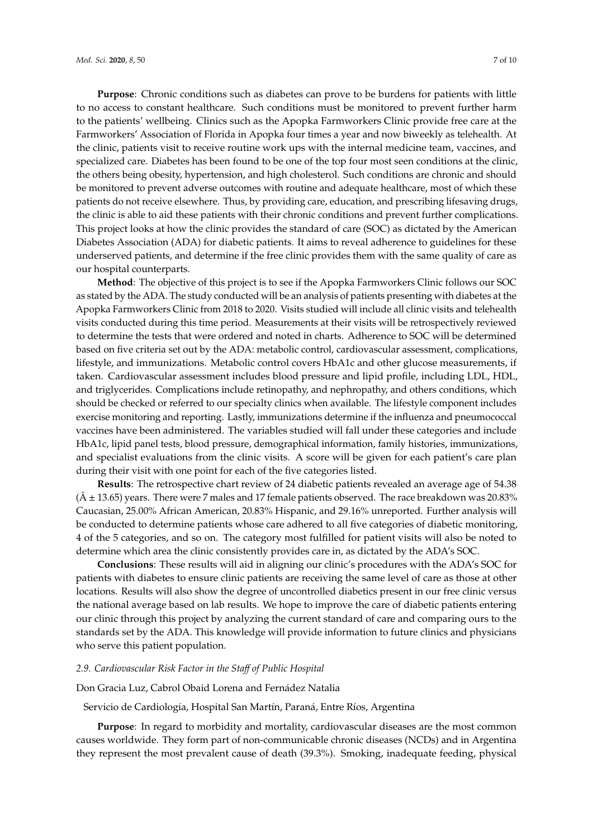**Purpose**: Chronic conditions such as diabetes can prove to be burdens for patients with little to no access to constant healthcare. Such conditions must be monitored to prevent further harm to the patients' wellbeing. Clinics such as the Apopka Farmworkers Clinic provide free care at the Farmworkers' Association of Florida in Apopka four times a year and now biweekly as telehealth. At the clinic, patients visit to receive routine work ups with the internal medicine team, vaccines, and specialized care. Diabetes has been found to be one of the top four most seen conditions at the clinic, the others being obesity, hypertension, and high cholesterol. Such conditions are chronic and should be monitored to prevent adverse outcomes with routine and adequate healthcare, most of which these patients do not receive elsewhere. Thus, by providing care, education, and prescribing lifesaving drugs, the clinic is able to aid these patients with their chronic conditions and prevent further complications. This project looks at how the clinic provides the standard of care (SOC) as dictated by the American Diabetes Association (ADA) for diabetic patients. It aims to reveal adherence to guidelines for these underserved patients, and determine if the free clinic provides them with the same quality of care as our hospital counterparts.

**Method**: The objective of this project is to see if the Apopka Farmworkers Clinic follows our SOC as stated by the ADA. The study conducted will be an analysis of patients presenting with diabetes at the Apopka Farmworkers Clinic from 2018 to 2020. Visits studied will include all clinic visits and telehealth visits conducted during this time period. Measurements at their visits will be retrospectively reviewed to determine the tests that were ordered and noted in charts. Adherence to SOC will be determined based on five criteria set out by the ADA: metabolic control, cardiovascular assessment, complications, lifestyle, and immunizations. Metabolic control covers HbA1c and other glucose measurements, if taken. Cardiovascular assessment includes blood pressure and lipid profile, including LDL, HDL, and triglycerides. Complications include retinopathy, and nephropathy, and others conditions, which should be checked or referred to our specialty clinics when available. The lifestyle component includes exercise monitoring and reporting. Lastly, immunizations determine if the influenza and pneumococcal vaccines have been administered. The variables studied will fall under these categories and include HbA1c, lipid panel tests, blood pressure, demographical information, family histories, immunizations, and specialist evaluations from the clinic visits. A score will be given for each patient's care plan during their visit with one point for each of the five categories listed.

**Results**: The retrospective chart review of 24 diabetic patients revealed an average age of 54.38  $(\hat{A} \pm 13.65)$  years. There were 7 males and 17 female patients observed. The race breakdown was 20.83% Caucasian, 25.00% African American, 20.83% Hispanic, and 29.16% unreported. Further analysis will be conducted to determine patients whose care adhered to all five categories of diabetic monitoring, 4 of the 5 categories, and so on. The category most fulfilled for patient visits will also be noted to determine which area the clinic consistently provides care in, as dictated by the ADA's SOC.

**Conclusions**: These results will aid in aligning our clinic's procedures with the ADA's SOC for patients with diabetes to ensure clinic patients are receiving the same level of care as those at other locations. Results will also show the degree of uncontrolled diabetics present in our free clinic versus the national average based on lab results. We hope to improve the care of diabetic patients entering our clinic through this project by analyzing the current standard of care and comparing ours to the standards set by the ADA. This knowledge will provide information to future clinics and physicians who serve this patient population.

#### *2.9. Cardiovascular Risk Factor in the Sta*ff *of Public Hospital*

Don Gracia Luz, Cabrol Obaid Lorena and Fernádez Natalia

Servicio de Cardiología, Hospital San Martín, Paraná, Entre Ríos, Argentina

**Purpose**: In regard to morbidity and mortality, cardiovascular diseases are the most common causes worldwide. They form part of non-communicable chronic diseases (NCDs) and in Argentina they represent the most prevalent cause of death (39.3%). Smoking, inadequate feeding, physical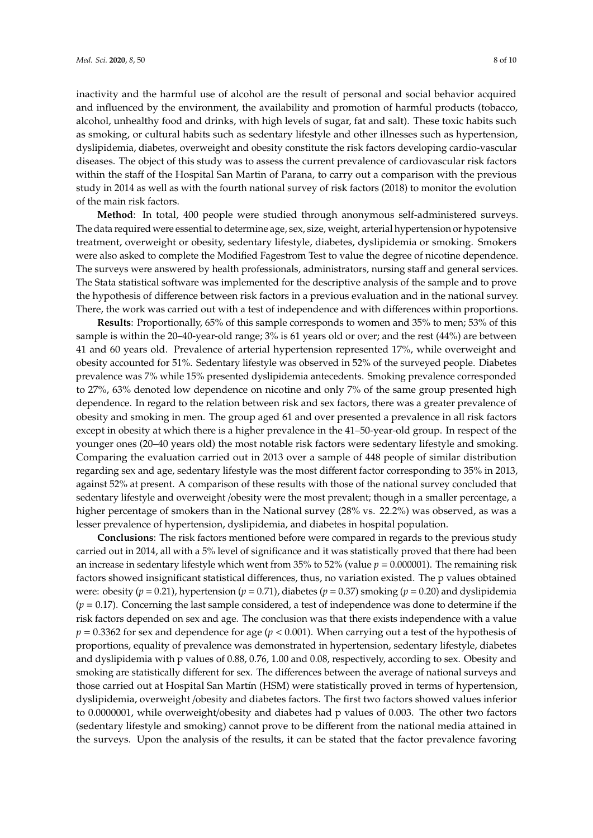inactivity and the harmful use of alcohol are the result of personal and social behavior acquired and influenced by the environment, the availability and promotion of harmful products (tobacco, alcohol, unhealthy food and drinks, with high levels of sugar, fat and salt). These toxic habits such as smoking, or cultural habits such as sedentary lifestyle and other illnesses such as hypertension, dyslipidemia, diabetes, overweight and obesity constitute the risk factors developing cardio-vascular diseases. The object of this study was to assess the current prevalence of cardiovascular risk factors within the staff of the Hospital San Martin of Parana, to carry out a comparison with the previous study in 2014 as well as with the fourth national survey of risk factors (2018) to monitor the evolution of the main risk factors.

**Method**: In total, 400 people were studied through anonymous self-administered surveys. The data required were essential to determine age, sex, size, weight, arterial hypertension or hypotensive treatment, overweight or obesity, sedentary lifestyle, diabetes, dyslipidemia or smoking. Smokers were also asked to complete the Modified Fagestrom Test to value the degree of nicotine dependence. The surveys were answered by health professionals, administrators, nursing staff and general services. The Stata statistical software was implemented for the descriptive analysis of the sample and to prove the hypothesis of difference between risk factors in a previous evaluation and in the national survey. There, the work was carried out with a test of independence and with differences within proportions.

**Results**: Proportionally, 65% of this sample corresponds to women and 35% to men; 53% of this sample is within the 20–40-year-old range; 3% is 61 years old or over; and the rest (44%) are between 41 and 60 years old. Prevalence of arterial hypertension represented 17%, while overweight and obesity accounted for 51%. Sedentary lifestyle was observed in 52% of the surveyed people. Diabetes prevalence was 7% while 15% presented dyslipidemia antecedents. Smoking prevalence corresponded to 27%, 63% denoted low dependence on nicotine and only 7% of the same group presented high dependence. In regard to the relation between risk and sex factors, there was a greater prevalence of obesity and smoking in men. The group aged 61 and over presented a prevalence in all risk factors except in obesity at which there is a higher prevalence in the 41–50-year-old group. In respect of the younger ones (20–40 years old) the most notable risk factors were sedentary lifestyle and smoking. Comparing the evaluation carried out in 2013 over a sample of 448 people of similar distribution regarding sex and age, sedentary lifestyle was the most different factor corresponding to 35% in 2013, against 52% at present. A comparison of these results with those of the national survey concluded that sedentary lifestyle and overweight /obesity were the most prevalent; though in a smaller percentage, a higher percentage of smokers than in the National survey (28% vs. 22.2%) was observed, as was a lesser prevalence of hypertension, dyslipidemia, and diabetes in hospital population.

**Conclusions**: The risk factors mentioned before were compared in regards to the previous study carried out in 2014, all with a 5% level of significance and it was statistically proved that there had been an increase in sedentary lifestyle which went from 35% to 52% (value  $p = 0.000001$ ). The remaining risk factors showed insignificant statistical differences, thus, no variation existed. The p values obtained were: obesity ( $p = 0.21$ ), hypertension ( $p = 0.71$ ), diabetes ( $p = 0.37$ ) smoking ( $p = 0.20$ ) and dyslipidemia  $(p = 0.17)$ . Concerning the last sample considered, a test of independence was done to determine if the risk factors depended on sex and age. The conclusion was that there exists independence with a value  $p = 0.3362$  for sex and dependence for age ( $p < 0.001$ ). When carrying out a test of the hypothesis of proportions, equality of prevalence was demonstrated in hypertension, sedentary lifestyle, diabetes and dyslipidemia with p values of 0.88, 0.76, 1.00 and 0.08, respectively, according to sex. Obesity and smoking are statistically different for sex. The differences between the average of national surveys and those carried out at Hospital San Martín (HSM) were statistically proved in terms of hypertension, dyslipidemia, overweight /obesity and diabetes factors. The first two factors showed values inferior to 0.0000001, while overweight/obesity and diabetes had p values of 0.003. The other two factors (sedentary lifestyle and smoking) cannot prove to be different from the national media attained in the surveys. Upon the analysis of the results, it can be stated that the factor prevalence favoring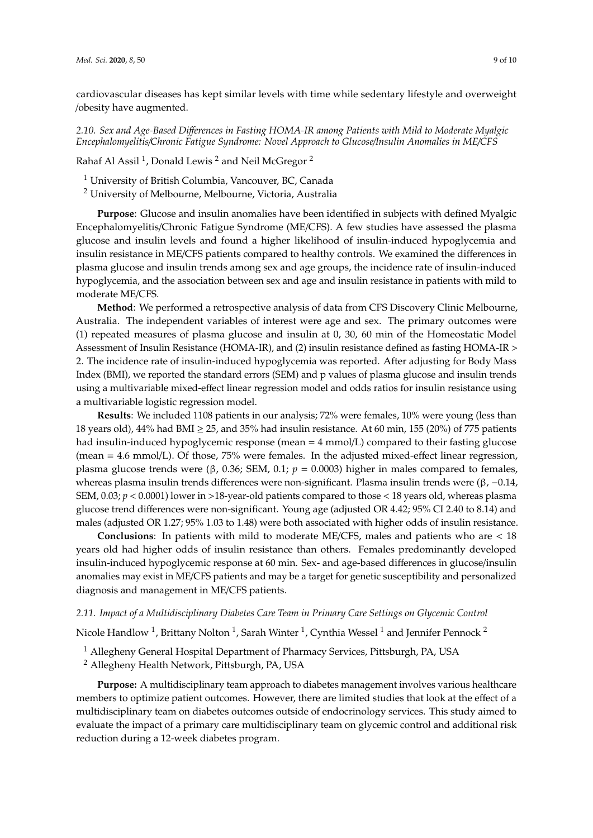cardiovascular diseases has kept similar levels with time while sedentary lifestyle and overweight /obesity have augmented.

*2.10. Sex and Age-Based Di*ff*erences in Fasting HOMA-IR among Patients with Mild to Moderate Myalgic Encephalomyelitis*/*Chronic Fatigue Syndrome: Novel Approach to Glucose*/*Insulin Anomalies in ME*/*CFS*

Rahaf Al Assil  $^1$ , Donald Lewis  $^2$  and Neil McGregor  $^2$ 

- <sup>1</sup> University of British Columbia, Vancouver, BC, Canada
- <sup>2</sup> University of Melbourne, Melbourne, Victoria, Australia

**Purpose**: Glucose and insulin anomalies have been identified in subjects with defined Myalgic Encephalomyelitis/Chronic Fatigue Syndrome (ME/CFS). A few studies have assessed the plasma glucose and insulin levels and found a higher likelihood of insulin-induced hypoglycemia and insulin resistance in ME/CFS patients compared to healthy controls. We examined the differences in plasma glucose and insulin trends among sex and age groups, the incidence rate of insulin-induced hypoglycemia, and the association between sex and age and insulin resistance in patients with mild to moderate ME/CFS.

**Method**: We performed a retrospective analysis of data from CFS Discovery Clinic Melbourne, Australia. The independent variables of interest were age and sex. The primary outcomes were (1) repeated measures of plasma glucose and insulin at 0, 30, 60 min of the Homeostatic Model Assessment of Insulin Resistance (HOMA-IR), and (2) insulin resistance defined as fasting HOMA-IR > 2. The incidence rate of insulin-induced hypoglycemia was reported. After adjusting for Body Mass Index (BMI), we reported the standard errors (SEM) and p values of plasma glucose and insulin trends using a multivariable mixed-effect linear regression model and odds ratios for insulin resistance using a multivariable logistic regression model.

**Results**: We included 1108 patients in our analysis; 72% were females, 10% were young (less than 18 years old), 44% had BMI  $\geq$  25, and 35% had insulin resistance. At 60 min, 155 (20%) of 775 patients had insulin-induced hypoglycemic response (mean = 4 mmol/L) compared to their fasting glucose (mean = 4.6 mmol/L). Of those, 75% were females. In the adjusted mixed-effect linear regression, plasma glucose trends were (β, 0.36; SEM, 0.1;  $p = 0.0003$ ) higher in males compared to females, whereas plasma insulin trends differences were non-significant. Plasma insulin trends were (β, −0.14, SEM, 0.03; *p* < 0.0001) lower in >18-year-old patients compared to those < 18 years old, whereas plasma glucose trend differences were non-significant. Young age (adjusted OR 4.42; 95% CI 2.40 to 8.14) and males (adjusted OR 1.27; 95% 1.03 to 1.48) were both associated with higher odds of insulin resistance.

**Conclusions**: In patients with mild to moderate ME/CFS, males and patients who are < 18 years old had higher odds of insulin resistance than others. Females predominantly developed insulin-induced hypoglycemic response at 60 min. Sex- and age-based differences in glucose/insulin anomalies may exist in ME/CFS patients and may be a target for genetic susceptibility and personalized diagnosis and management in ME/CFS patients.

#### *2.11. Impact of a Multidisciplinary Diabetes Care Team in Primary Care Settings on Glycemic Control*

Nicole Handlow  $^1$ , Brittany Nolton  $^1$ , Sarah Winter  $^1$ , Cynthia Wessel  $^1$  and Jennifer Pennock  $^2$ 

- <sup>1</sup> Allegheny General Hospital Department of Pharmacy Services, Pittsburgh, PA, USA
- <sup>2</sup> Allegheny Health Network, Pittsburgh, PA, USA

**Purpose:** A multidisciplinary team approach to diabetes management involves various healthcare members to optimize patient outcomes. However, there are limited studies that look at the effect of a multidisciplinary team on diabetes outcomes outside of endocrinology services. This study aimed to evaluate the impact of a primary care multidisciplinary team on glycemic control and additional risk reduction during a 12-week diabetes program.